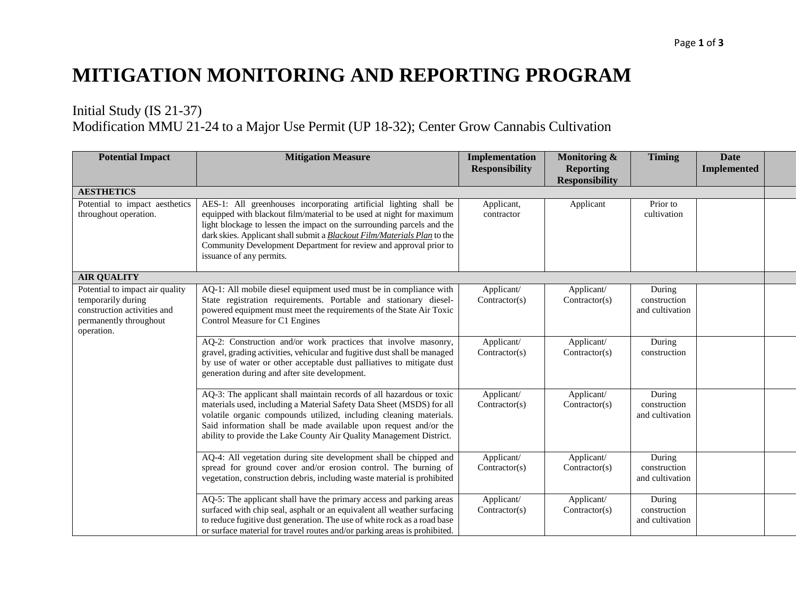## **MITIGATION MONITORING AND REPORTING PROGRAM**

## Initial Study (IS 21-37) Modification MMU 21-24 to a Major Use Permit (UP 18-32); Center Grow Cannabis Cultivation

| <b>Potential Impact</b>                                                                                                      | <b>Mitigation Measure</b>                                                                                                                                                                                                                                                                                                                                                                        | <b>Implementation</b><br><b>Responsibility</b> | Monitoring &<br><b>Reporting</b><br><b>Responsibility</b> | <b>Timing</b>                             | <b>Date</b><br><b>Implemented</b> |
|------------------------------------------------------------------------------------------------------------------------------|--------------------------------------------------------------------------------------------------------------------------------------------------------------------------------------------------------------------------------------------------------------------------------------------------------------------------------------------------------------------------------------------------|------------------------------------------------|-----------------------------------------------------------|-------------------------------------------|-----------------------------------|
| <b>AESTHETICS</b>                                                                                                            |                                                                                                                                                                                                                                                                                                                                                                                                  |                                                |                                                           |                                           |                                   |
| Potential to impact aesthetics<br>throughout operation.                                                                      | AES-1: All greenhouses incorporating artificial lighting shall be<br>equipped with blackout film/material to be used at night for maximum<br>light blockage to lessen the impact on the surrounding parcels and the<br>dark skies. Applicant shall submit a Blackout Film/Materials Plan to the<br>Community Development Department for review and approval prior to<br>issuance of any permits. | Applicant,<br>contractor                       | Applicant                                                 | Prior to<br>cultivation                   |                                   |
| <b>AIR QUALITY</b>                                                                                                           |                                                                                                                                                                                                                                                                                                                                                                                                  |                                                |                                                           |                                           |                                   |
| Potential to impact air quality<br>temporarily during<br>construction activities and<br>permanently throughout<br>operation. | AQ-1: All mobile diesel equipment used must be in compliance with<br>State registration requirements. Portable and stationary diesel-<br>powered equipment must meet the requirements of the State Air Toxic<br>Control Measure for C1 Engines                                                                                                                                                   | Applicant/<br>Contractor(s)                    | Applicant/<br>Contractor(s)                               | During<br>construction<br>and cultivation |                                   |
|                                                                                                                              | AQ-2: Construction and/or work practices that involve masonry,<br>gravel, grading activities, vehicular and fugitive dust shall be managed<br>by use of water or other acceptable dust palliatives to mitigate dust<br>generation during and after site development.                                                                                                                             | Applicant/<br>Contractor(s)                    | Applicant/<br>Contractor(s)                               | During<br>construction                    |                                   |
|                                                                                                                              | AQ-3: The applicant shall maintain records of all hazardous or toxic<br>materials used, including a Material Safety Data Sheet (MSDS) for all<br>volatile organic compounds utilized, including cleaning materials.<br>Said information shall be made available upon request and/or the<br>ability to provide the Lake County Air Quality Management District.                                   | Applicant/<br>Contractor(s)                    | Applicant/<br>Contractor(s)                               | During<br>construction<br>and cultivation |                                   |
|                                                                                                                              | AQ-4: All vegetation during site development shall be chipped and<br>spread for ground cover and/or erosion control. The burning of<br>vegetation, construction debris, including waste material is prohibited                                                                                                                                                                                   | Applicant/<br>Contractor(s)                    | Applicant/<br>Contractor(s)                               | During<br>construction<br>and cultivation |                                   |
|                                                                                                                              | AQ-5: The applicant shall have the primary access and parking areas<br>surfaced with chip seal, asphalt or an equivalent all weather surfacing<br>to reduce fugitive dust generation. The use of white rock as a road base<br>or surface material for travel routes and/or parking areas is prohibited.                                                                                          | Applicant/<br>Contractor(s)                    | Applicant/<br>Contractor(s)                               | During<br>construction<br>and cultivation |                                   |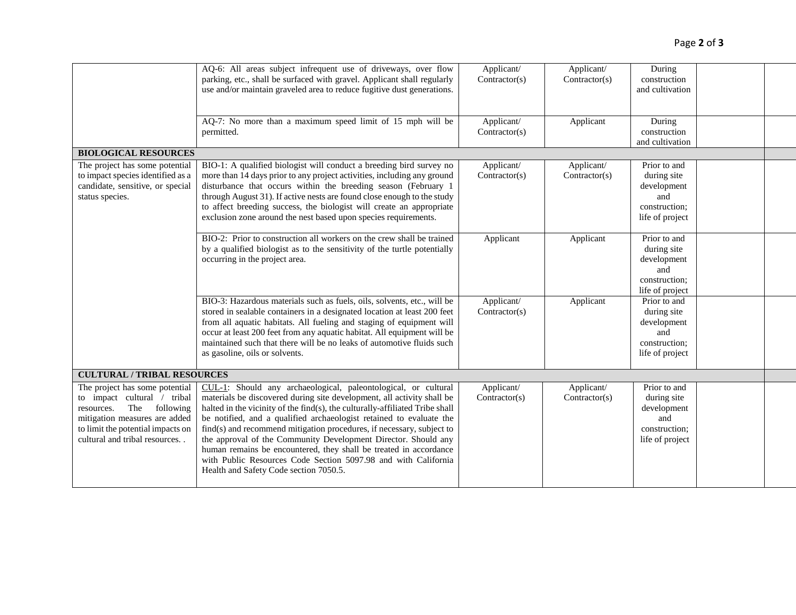|                                                                                                                                                                                                     | AQ-6: All areas subject infrequent use of driveways, over flow<br>parking, etc., shall be surfaced with gravel. Applicant shall regularly<br>use and/or maintain graveled area to reduce fugitive dust generations.<br>AQ-7: No more than a maximum speed limit of 15 mph will be<br>permitted.                                                                                                                                                                                                                                                                                                                             | Applicant/<br>Contractor(s)<br>Applicant/<br>Contractor(s) | Applicant/<br>Contractor(s)<br>Applicant | During<br>construction<br>and cultivation<br>During<br>construction<br>and cultivation |  |
|-----------------------------------------------------------------------------------------------------------------------------------------------------------------------------------------------------|-----------------------------------------------------------------------------------------------------------------------------------------------------------------------------------------------------------------------------------------------------------------------------------------------------------------------------------------------------------------------------------------------------------------------------------------------------------------------------------------------------------------------------------------------------------------------------------------------------------------------------|------------------------------------------------------------|------------------------------------------|----------------------------------------------------------------------------------------|--|
| <b>BIOLOGICAL RESOURCES</b>                                                                                                                                                                         |                                                                                                                                                                                                                                                                                                                                                                                                                                                                                                                                                                                                                             |                                                            |                                          |                                                                                        |  |
| The project has some potential<br>to impact species identified as a<br>candidate, sensitive, or special<br>status species.                                                                          | BIO-1: A qualified biologist will conduct a breeding bird survey no<br>more than 14 days prior to any project activities, including any ground<br>disturbance that occurs within the breeding season (February 1<br>through August 31). If active nests are found close enough to the study<br>to affect breeding success, the biologist will create an appropriate<br>exclusion zone around the nest based upon species requirements.                                                                                                                                                                                      | Applicant/<br>Contractor(s)                                | Applicant/<br>Contractor(s)              | Prior to and<br>during site<br>development<br>and<br>construction;<br>life of project  |  |
|                                                                                                                                                                                                     | BIO-2: Prior to construction all workers on the crew shall be trained<br>by a qualified biologist as to the sensitivity of the turtle potentially<br>occurring in the project area.                                                                                                                                                                                                                                                                                                                                                                                                                                         | Applicant                                                  | Applicant                                | Prior to and<br>during site<br>development<br>and<br>construction;<br>life of project  |  |
|                                                                                                                                                                                                     | BIO-3: Hazardous materials such as fuels, oils, solvents, etc., will be<br>stored in sealable containers in a designated location at least 200 feet<br>from all aquatic habitats. All fueling and staging of equipment will<br>occur at least 200 feet from any aquatic habitat. All equipment will be<br>maintained such that there will be no leaks of automotive fluids such<br>as gasoline, oils or solvents.                                                                                                                                                                                                           | Applicant/<br>Contractor(s)                                | Applicant                                | Prior to and<br>during site<br>development<br>and<br>construction;<br>life of project  |  |
| <b>CULTURAL / TRIBAL RESOURCES</b>                                                                                                                                                                  |                                                                                                                                                                                                                                                                                                                                                                                                                                                                                                                                                                                                                             |                                                            |                                          |                                                                                        |  |
| The project has some potential<br>to impact cultural / tribal<br>The following<br>resources.<br>mitigation measures are added<br>to limit the potential impacts on<br>cultural and tribal resources | CUL-1: Should any archaeological, paleontological, or cultural<br>materials be discovered during site development, all activity shall be<br>halted in the vicinity of the find(s), the culturally-affiliated Tribe shall<br>be notified, and a qualified archaeologist retained to evaluate the<br>find(s) and recommend mitigation procedures, if necessary, subject to<br>the approval of the Community Development Director. Should any<br>human remains be encountered, they shall be treated in accordance<br>with Public Resources Code Section 5097.98 and with California<br>Health and Safety Code section 7050.5. | Applicant/<br>Contractor(s)                                | Applicant/<br>Contractor(s)              | Prior to and<br>during site<br>development<br>and<br>construction;<br>life of project  |  |